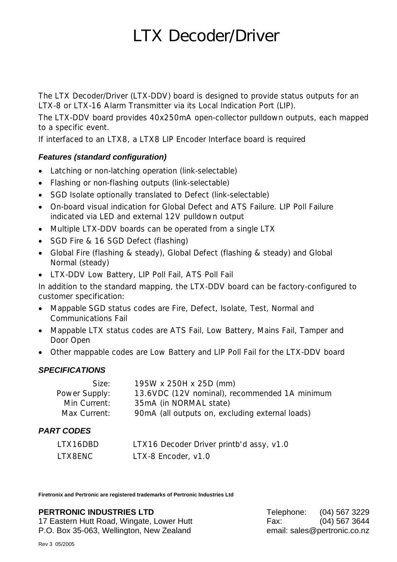# **LTX Decoder/Driver**

The LTX Decoder/Driver (LTX-DDV) board is designed to provide status outputs for an LTX-8 or LTX-16 Alarm Transmitter via its Local Indication Port (LIP).

The LTX-DDV board provides 40x250mA open-collector pulldown outputs, each mapped to a specific event.

If interfaced to an LTX8, a LTX8 LIP Encoder Interface board is required

## *Features (standard configuration)*

- Latching or non-latching operation (link-selectable)
- Flashing or non-flashing outputs (link-selectable)
- SGD Isolate optionally translated to Defect (link-selectable)
- On-board visual indication for Global Defect and ATS Failure. LIP Poll Failure indicated via LED and external 12V pulldown output
- Multiple LTX-DDV boards can be operated from a single LTX
- SGD Fire & 16 SGD Defect (flashing)
- Global Fire (flashing & steady), Global Defect (flashing & steady) and Global Normal (steady)
- LTX-DDV Low Battery, LIP Poll Fail, ATS Poll Fail

In addition to the standard mapping, the LTX-DDV board can be factory-configured to customer specification:

- Mappable SGD status codes are Fire, Defect, Isolate, Test, Normal and Communications Fail
- Mappable LTX status codes are ATS Fail, Low Battery, Mains Fail, Tamper and Door Open
- Other mappable codes are Low Battery and LIP Poll Fail for the LTX-DDV board

## *SPECIFICATIONS*

| Size:         | 195W x 250H x 25D (mm)                          |
|---------------|-------------------------------------------------|
| Power Supply: | 13.6VDC (12V nominal), recommended 1A minimum   |
| Min Current:  | 35mA (in NORMAL state)                          |
| Max Current:  | 90mA (all outputs on, excluding external loads) |

# *PART CODES*

| LTX16DBD | LTX16 Decoder Driver printb'd assy, v1.0 |
|----------|------------------------------------------|
| LTX8ENC  | LTX-8 Encoder, v1.0                      |

**Firetronix and Pertronic are registered trademarks of Pertronic Industries Ltd** 

#### **PERTRONIC INDUSTRIES LTD** Telephone: (04) 567 3229

17 Eastern Hutt Road, Wingate, Lower Hutt Fax: (04) 567 3644 P.O. Box 35-063, Wellington, New Zealand email: sales@pertronic.co.nz